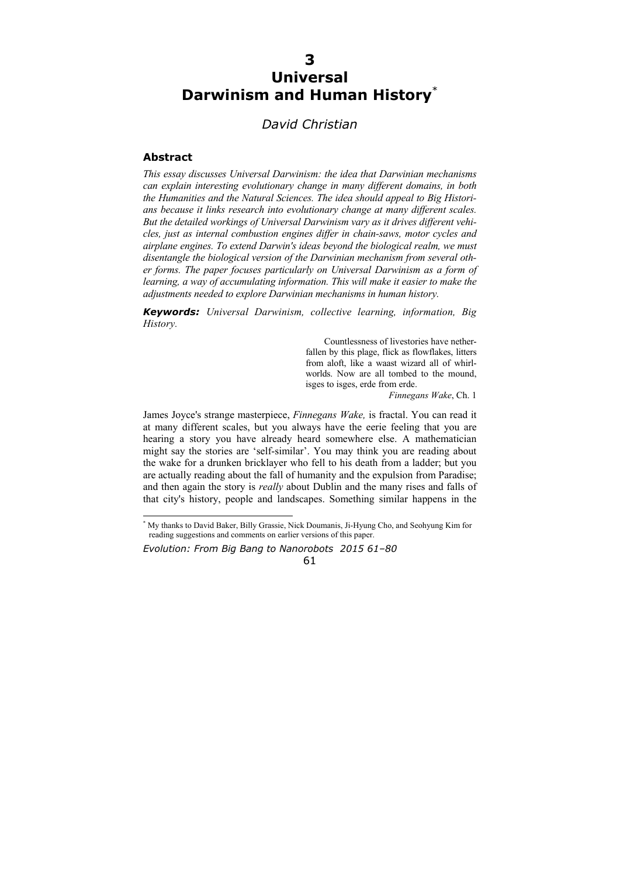# **3 Universal Darwinism and Human History**\*

## *David Christian*

#### **Abstract**

*This essay discusses Universal Darwinism: the idea that Darwinian mechanisms can explain interesting evolutionary change in many different domains, in both the Humanities and the Natural Sciences. The idea should appeal to Big Historians because it links research into evolutionary change at many different scales. But the detailed workings of Universal Darwinism vary as it drives different vehicles, just as internal combustion engines differ in chain-saws, motor cycles and airplane engines. To extend Darwin's ideas beyond the biological realm, we must disentangle the biological version of the Darwinian mechanism from several other forms. The paper focuses particularly on Universal Darwinism as a form of learning, a way of accumulating information. This will make it easier to make the adjustments needed to explore Darwinian mechanisms in human history.* 

*Keywords: Universal Darwinism, collective learning, information, Big History.* 

> Countlessness of livestories have netherfallen by this plage, flick as flowflakes, litters from aloft, like a waast wizard all of whirlworlds. Now are all tombed to the mound, isges to isges, erde from erde.

*Finnegans Wake*, Ch. 1

James Joyce's strange masterpiece, *Finnegans Wake,* is fractal. You can read it at many different scales, but you always have the eerie feeling that you are hearing a story you have already heard somewhere else. A mathematician might say the stories are 'self-similar'. You may think you are reading about the wake for a drunken bricklayer who fell to his death from a ladder; but you are actually reading about the fall of humanity and the expulsion from Paradise; and then again the story is *really* about Dublin and the many rises and falls of that city's history, people and landscapes. Something similar happens in the

*Evolution: From Big Bang to Nanorobots 2015 61–80* 

61

 \* My thanks to David Baker, Billy Grassie, Nick Doumanis, Ji-Hyung Cho, and Seohyung Kim for reading suggestions and comments on earlier versions of this paper.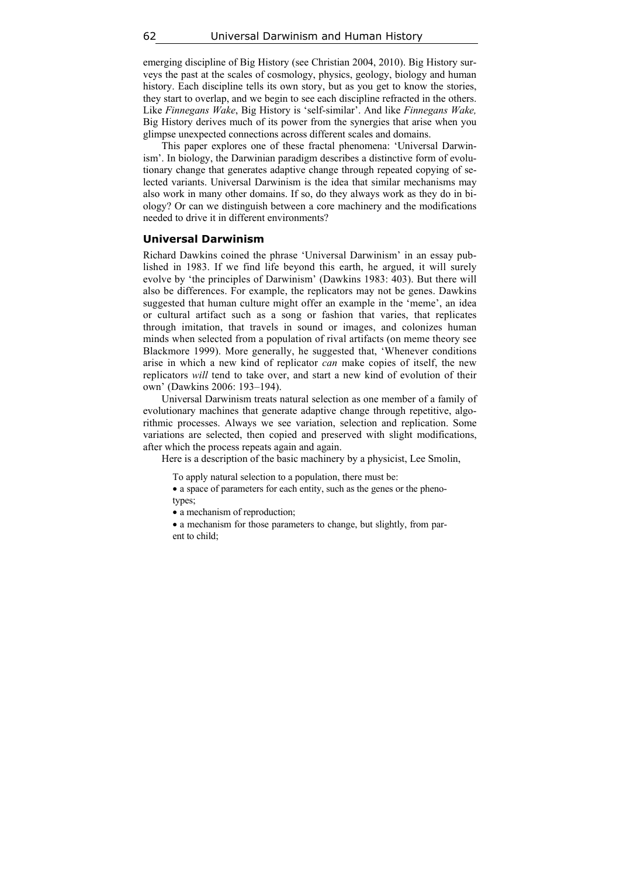emerging discipline of Big History (see Christian 2004, 2010). Big History surveys the past at the scales of cosmology, physics, geology, biology and human history. Each discipline tells its own story, but as you get to know the stories, they start to overlap, and we begin to see each discipline refracted in the others. Like *Finnegans Wake*, Big History is 'self-similar'. And like *Finnegans Wake,*  Big History derives much of its power from the synergies that arise when you glimpse unexpected connections across different scales and domains.

This paper explores one of these fractal phenomena: 'Universal Darwinism'. In biology, the Darwinian paradigm describes a distinctive form of evolutionary change that generates adaptive change through repeated copying of selected variants. Universal Darwinism is the idea that similar mechanisms may also work in many other domains. If so, do they always work as they do in biology? Or can we distinguish between a core machinery and the modifications needed to drive it in different environments?

#### **Universal Darwinism**

Richard Dawkins coined the phrase 'Universal Darwinism' in an essay published in 1983. If we find life beyond this earth, he argued, it will surely evolve by 'the principles of Darwinism' (Dawkins 1983: 403). But there will also be differences. For example, the replicators may not be genes. Dawkins suggested that human culture might offer an example in the 'meme', an idea or cultural artifact such as a song or fashion that varies, that replicates through imitation, that travels in sound or images, and colonizes human minds when selected from a population of rival artifacts (on meme theory see Blackmore 1999). More generally, he suggested that, 'Whenever conditions arise in which a new kind of replicator *can* make copies of itself, the new replicators *will* tend to take over, and start a new kind of evolution of their own' (Dawkins 2006: 193–194).

Universal Darwinism treats natural selection as one member of a family of evolutionary machines that generate adaptive change through repetitive, algorithmic processes. Always we see variation, selection and replication. Some variations are selected, then copied and preserved with slight modifications, after which the process repeats again and again.

Here is a description of the basic machinery by a physicist, Lee Smolin,

To apply natural selection to a population, there must be:

• a space of parameters for each entity, such as the genes or the phenotypes;

• a mechanism of reproduction;

 a mechanism for those parameters to change, but slightly, from parent to child;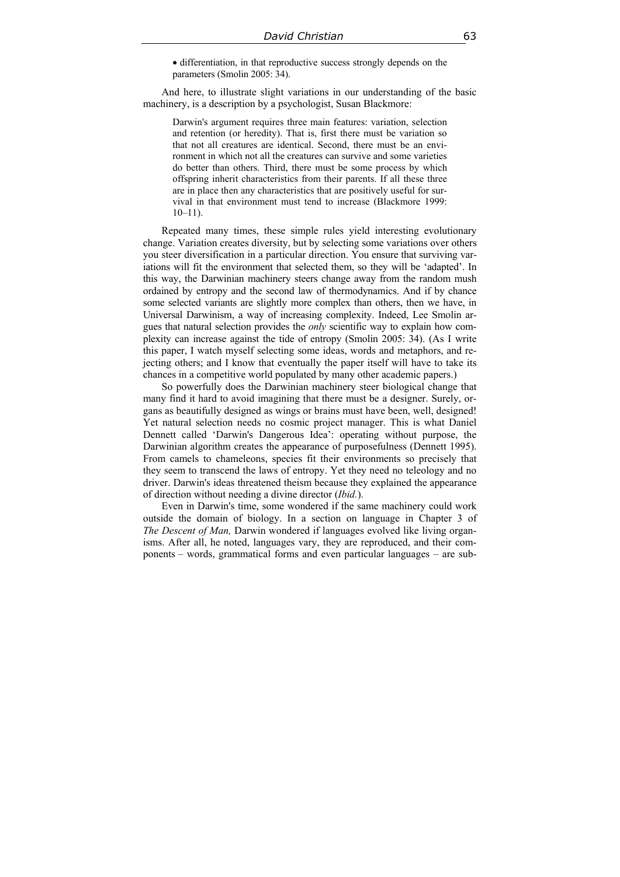differentiation, in that reproductive success strongly depends on the parameters (Smolin 2005: 34).

And here, to illustrate slight variations in our understanding of the basic machinery, is a description by a psychologist, Susan Blackmore:

Darwin's argument requires three main features: variation, selection and retention (or heredity). That is, first there must be variation so that not all creatures are identical. Second, there must be an environment in which not all the creatures can survive and some varieties do better than others. Third, there must be some process by which offspring inherit characteristics from their parents. If all these three are in place then any characteristics that are positively useful for survival in that environment must tend to increase (Blackmore 1999:  $10-11$ ).

Repeated many times, these simple rules yield interesting evolutionary change. Variation creates diversity, but by selecting some variations over others you steer diversification in a particular direction. You ensure that surviving variations will fit the environment that selected them, so they will be 'adapted'. In this way, the Darwinian machinery steers change away from the random mush ordained by entropy and the second law of thermodynamics. And if by chance some selected variants are slightly more complex than others, then we have, in Universal Darwinism, a way of increasing complexity. Indeed, Lee Smolin argues that natural selection provides the *only* scientific way to explain how complexity can increase against the tide of entropy (Smolin 2005: 34). (As I write this paper, I watch myself selecting some ideas, words and metaphors, and rejecting others; and I know that eventually the paper itself will have to take its chances in a competitive world populated by many other academic papers.)

So powerfully does the Darwinian machinery steer biological change that many find it hard to avoid imagining that there must be a designer. Surely, organs as beautifully designed as wings or brains must have been, well, designed! Yet natural selection needs no cosmic project manager. This is what Daniel Dennett called 'Darwin's Dangerous Idea': operating without purpose, the Darwinian algorithm creates the appearance of purposefulness (Dennett 1995). From camels to chameleons, species fit their environments so precisely that they seem to transcend the laws of entropy. Yet they need no teleology and no driver. Darwin's ideas threatened theism because they explained the appearance of direction without needing a divine director (*Ibid.*).

Even in Darwin's time, some wondered if the same machinery could work outside the domain of biology. In a section on language in Chapter 3 of *The Descent of Man,* Darwin wondered if languages evolved like living organisms. After all, he noted, languages vary, they are reproduced, and their components – words, grammatical forms and even particular languages – are sub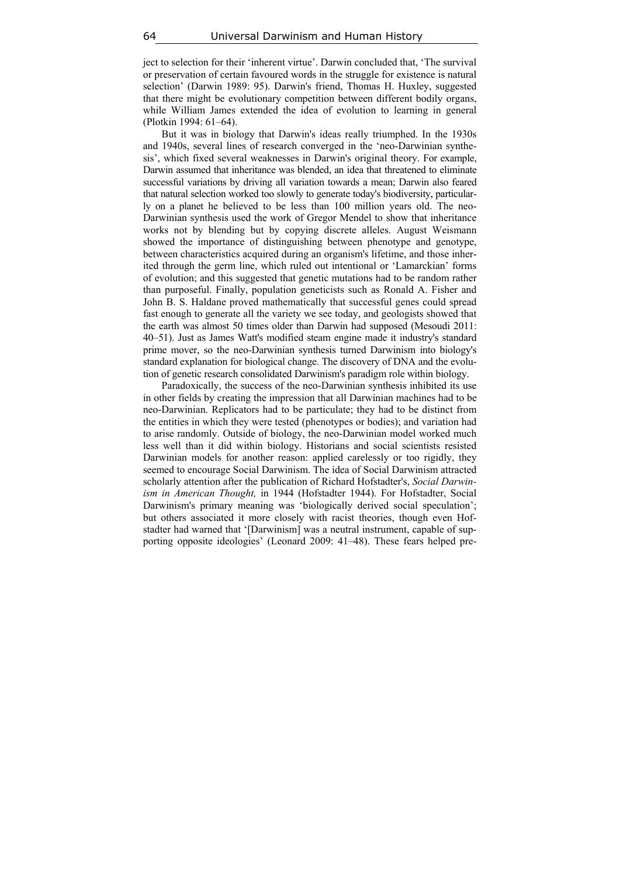ject to selection for their 'inherent virtue'. Darwin concluded that, 'The survival or preservation of certain favoured words in the struggle for existence is natural selection' (Darwin 1989: 95). Darwin's friend, Thomas H. Huxley, suggested that there might be evolutionary competition between different bodily organs, while William James extended the idea of evolution to learning in general (Plotkin 1994: 61–64).

But it was in biology that Darwin's ideas really triumphed. In the 1930s and 1940s, several lines of research converged in the 'neo-Darwinian synthesis', which fixed several weaknesses in Darwin's original theory. For example, Darwin assumed that inheritance was blended, an idea that threatened to eliminate successful variations by driving all variation towards a mean; Darwin also feared that natural selection worked too slowly to generate today's biodiversity, particularly on a planet he believed to be less than 100 million years old. The neo-Darwinian synthesis used the work of Gregor Mendel to show that inheritance works not by blending but by copying discrete alleles. August Weismann showed the importance of distinguishing between phenotype and genotype, between characteristics acquired during an organism's lifetime, and those inherited through the germ line, which ruled out intentional or 'Lamarckian' forms of evolution; and this suggested that genetic mutations had to be random rather than purposeful. Finally, population geneticists such as Ronald A. Fisher and John B. S. Haldane proved mathematically that successful genes could spread fast enough to generate all the variety we see today, and geologists showed that the earth was almost 50 times older than Darwin had supposed (Mesoudi 2011: 40–51). Just as James Watt's modified steam engine made it industry's standard prime mover, so the neo-Darwinian synthesis turned Darwinism into biology's standard explanation for biological change. The discovery of DNA and the evolution of genetic research consolidated Darwinism's paradigm role within biology.

Paradoxically, the success of the neo-Darwinian synthesis inhibited its use in other fields by creating the impression that all Darwinian machines had to be neo-Darwinian. Replicators had to be particulate; they had to be distinct from the entities in which they were tested (phenotypes or bodies); and variation had to arise randomly. Outside of biology, the neo-Darwinian model worked much less well than it did within biology. Historians and social scientists resisted Darwinian models for another reason: applied carelessly or too rigidly, they seemed to encourage Social Darwinism. The idea of Social Darwinism attracted scholarly attention after the publication of Richard Hofstadter's, *Social Darwinism in American Thought,* in 1944 (Hofstadter 1944). For Hofstadter, Social Darwinism's primary meaning was 'biologically derived social speculation'; but others associated it more closely with racist theories, though even Hofstadter had warned that '[Darwinism] was a neutral instrument, capable of supporting opposite ideologies' (Leonard 2009: 41–48). These fears helped pre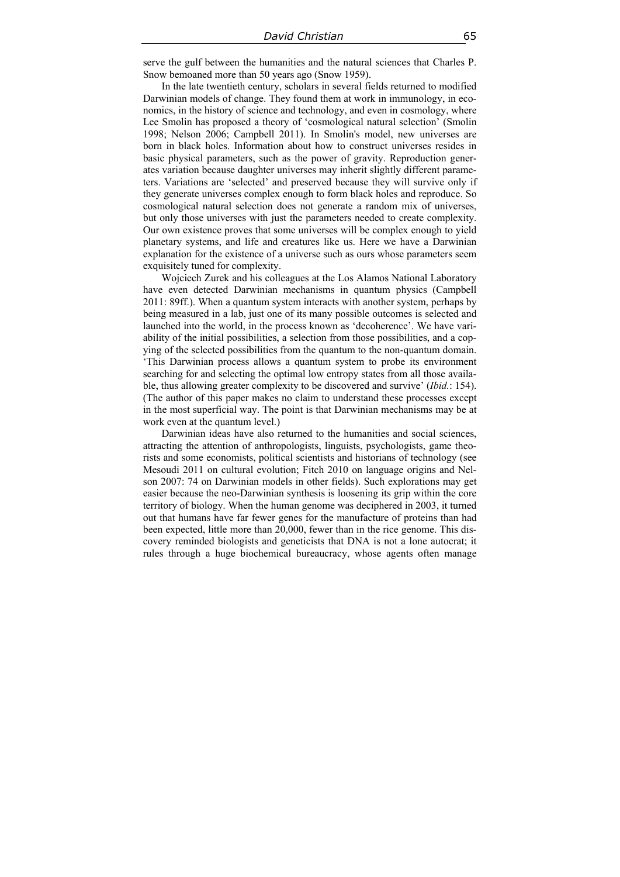serve the gulf between the humanities and the natural sciences that Charles P. Snow bemoaned more than 50 years ago (Snow 1959).

In the late twentieth century, scholars in several fields returned to modified Darwinian models of change. They found them at work in immunology, in economics, in the history of science and technology, and even in cosmology, where Lee Smolin has proposed a theory of 'cosmological natural selection' (Smolin 1998; Nelson 2006; Campbell 2011). In Smolin's model, new universes are born in black holes. Information about how to construct universes resides in basic physical parameters, such as the power of gravity. Reproduction generates variation because daughter universes may inherit slightly different parameters. Variations are 'selected' and preserved because they will survive only if they generate universes complex enough to form black holes and reproduce. So cosmological natural selection does not generate a random mix of universes, but only those universes with just the parameters needed to create complexity. Our own existence proves that some universes will be complex enough to yield planetary systems, and life and creatures like us. Here we have a Darwinian explanation for the existence of a universe such as ours whose parameters seem exquisitely tuned for complexity.

Wojciech Zurek and his colleagues at the Los Alamos National Laboratory have even detected Darwinian mechanisms in quantum physics (Campbell 2011: 89ff.). When a quantum system interacts with another system, perhaps by being measured in a lab, just one of its many possible outcomes is selected and launched into the world, in the process known as 'decoherence'. We have variability of the initial possibilities, a selection from those possibilities, and a copying of the selected possibilities from the quantum to the non-quantum domain. 'This Darwinian process allows a quantum system to probe its environment searching for and selecting the optimal low entropy states from all those available, thus allowing greater complexity to be discovered and survive' (*Ibid.*: 154). (The author of this paper makes no claim to understand these processes except in the most superficial way. The point is that Darwinian mechanisms may be at work even at the quantum level.)

Darwinian ideas have also returned to the humanities and social sciences, attracting the attention of anthropologists, linguists, psychologists, game theorists and some economists, political scientists and historians of technology (see Mesoudi 2011 on cultural evolution; Fitch 2010 on language origins and Nelson 2007: 74 on Darwinian models in other fields). Such explorations may get easier because the neo-Darwinian synthesis is loosening its grip within the core territory of biology. When the human genome was deciphered in 2003, it turned out that humans have far fewer genes for the manufacture of proteins than had been expected, little more than 20,000, fewer than in the rice genome. This discovery reminded biologists and geneticists that DNA is not a lone autocrat; it rules through a huge biochemical bureaucracy, whose agents often manage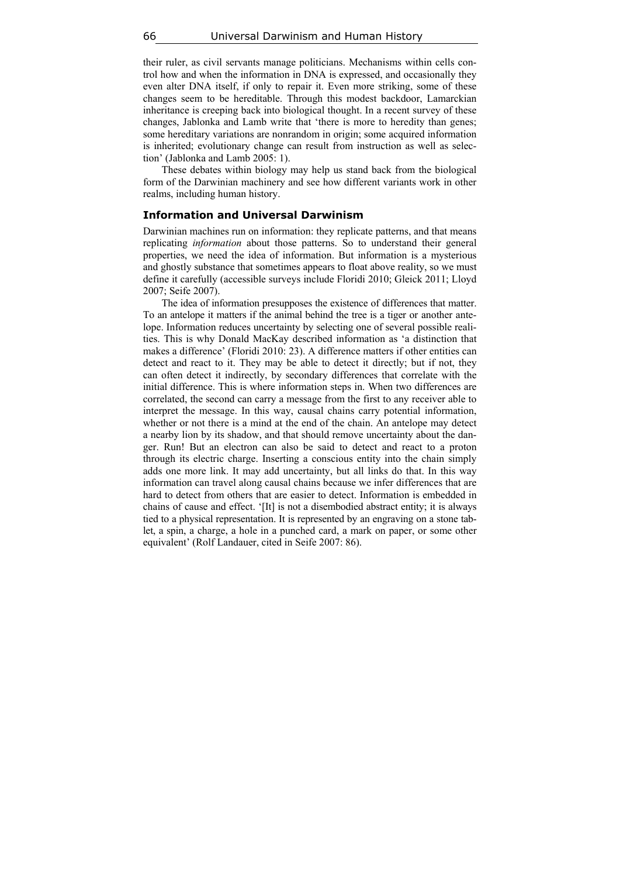their ruler, as civil servants manage politicians. Mechanisms within cells control how and when the information in DNA is expressed, and occasionally they even alter DNA itself, if only to repair it. Even more striking, some of these changes seem to be hereditable. Through this modest backdoor, Lamarckian inheritance is creeping back into biological thought. In a recent survey of these changes, Jablonka and Lamb write that 'there is more to heredity than genes; some hereditary variations are nonrandom in origin; some acquired information is inherited; evolutionary change can result from instruction as well as selection' (Jablonka and Lamb 2005: 1).

These debates within biology may help us stand back from the biological form of the Darwinian machinery and see how different variants work in other realms, including human history.

#### **Information and Universal Darwinism**

Darwinian machines run on information: they replicate patterns, and that means replicating *information* about those patterns. So to understand their general properties, we need the idea of information. But information is a mysterious and ghostly substance that sometimes appears to float above reality, so we must define it carefully (accessible surveys include Floridi 2010; Gleick 2011; Lloyd 2007; Seife 2007).

The idea of information presupposes the existence of differences that matter. To an antelope it matters if the animal behind the tree is a tiger or another antelope. Information reduces uncertainty by selecting one of several possible realities. This is why Donald MacKay described information as 'a distinction that makes a difference' (Floridi 2010: 23). A difference matters if other entities can detect and react to it. They may be able to detect it directly; but if not, they can often detect it indirectly, by secondary differences that correlate with the initial difference. This is where information steps in. When two differences are correlated, the second can carry a message from the first to any receiver able to interpret the message. In this way, causal chains carry potential information, whether or not there is a mind at the end of the chain. An antelope may detect a nearby lion by its shadow, and that should remove uncertainty about the danger. Run! But an electron can also be said to detect and react to a proton through its electric charge. Inserting a conscious entity into the chain simply adds one more link. It may add uncertainty, but all links do that. In this way information can travel along causal chains because we infer differences that are hard to detect from others that are easier to detect. Information is embedded in chains of cause and effect. '[It] is not a disembodied abstract entity; it is always tied to a physical representation. It is represented by an engraving on a stone tablet, a spin, a charge, a hole in a punched card, a mark on paper, or some other equivalent' (Rolf Landauer, cited in Seife 2007: 86).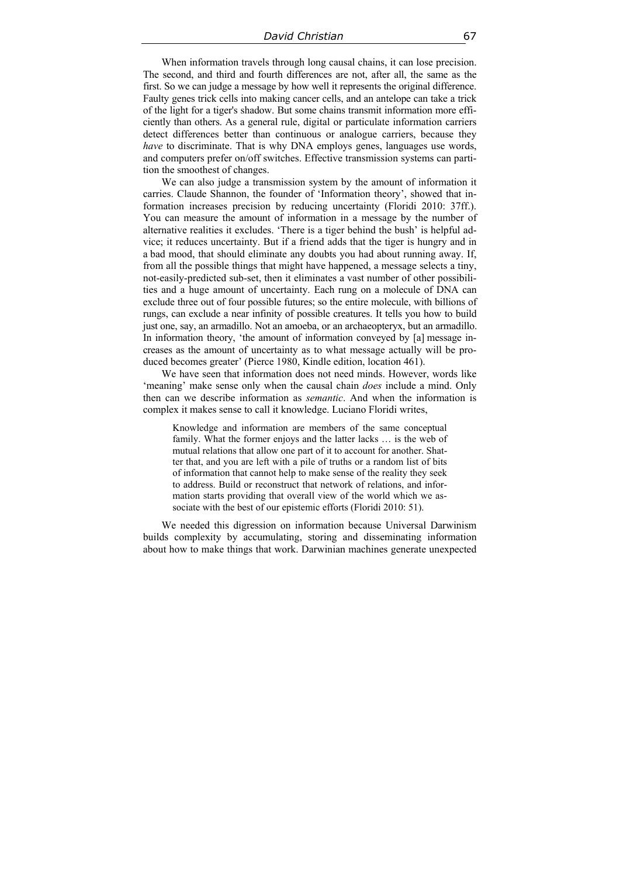When information travels through long causal chains, it can lose precision. The second, and third and fourth differences are not, after all, the same as the first. So we can judge a message by how well it represents the original difference. Faulty genes trick cells into making cancer cells, and an antelope can take a trick of the light for a tiger's shadow. But some chains transmit information more efficiently than others. As a general rule, digital or particulate information carriers detect differences better than continuous or analogue carriers, because they *have* to discriminate. That is why DNA employs genes, languages use words, and computers prefer on/off switches. Effective transmission systems can partition the smoothest of changes.

We can also judge a transmission system by the amount of information it carries. Claude Shannon, the founder of 'Information theory', showed that information increases precision by reducing uncertainty (Floridi 2010: 37ff.). You can measure the amount of information in a message by the number of alternative realities it excludes. 'There is a tiger behind the bush' is helpful advice; it reduces uncertainty. But if a friend adds that the tiger is hungry and in a bad mood, that should eliminate any doubts you had about running away. If, from all the possible things that might have happened, a message selects a tiny, not-easily-predicted sub-set, then it eliminates a vast number of other possibilities and a huge amount of uncertainty. Each rung on a molecule of DNA can exclude three out of four possible futures; so the entire molecule, with billions of rungs, can exclude a near infinity of possible creatures. It tells you how to build just one, say, an armadillo. Not an amoeba, or an archaeopteryx, but an armadillo. In information theory, 'the amount of information conveyed by [a] message increases as the amount of uncertainty as to what message actually will be produced becomes greater' (Pierce 1980, Kindle edition, location 461).

We have seen that information does not need minds. However, words like 'meaning' make sense only when the causal chain *does* include a mind. Only then can we describe information as *semantic*. And when the information is complex it makes sense to call it knowledge. Luciano Floridi writes,

Knowledge and information are members of the same conceptual family. What the former enjoys and the latter lacks … is the web of mutual relations that allow one part of it to account for another. Shatter that, and you are left with a pile of truths or a random list of bits of information that cannot help to make sense of the reality they seek to address. Build or reconstruct that network of relations, and information starts providing that overall view of the world which we associate with the best of our epistemic efforts (Floridi 2010: 51).

We needed this digression on information because Universal Darwinism builds complexity by accumulating, storing and disseminating information about how to make things that work. Darwinian machines generate unexpected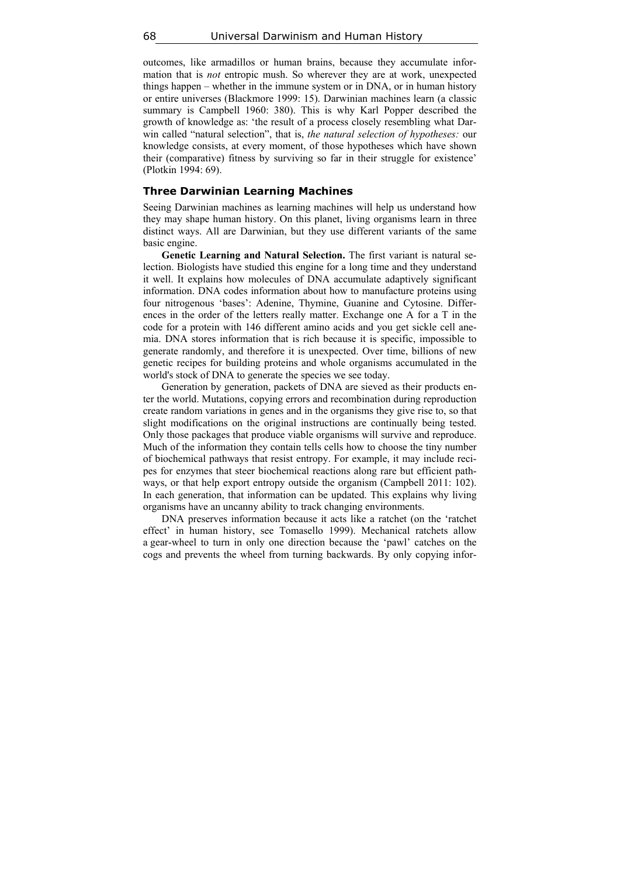outcomes, like armadillos or human brains, because they accumulate information that is *not* entropic mush. So wherever they are at work, unexpected things happen – whether in the immune system or in DNA, or in human history or entire universes (Blackmore 1999: 15). Darwinian machines learn (a classic summary is Campbell 1960: 380). This is why Karl Popper described the growth of knowledge as: 'the result of a process closely resembling what Darwin called "natural selection", that is, *the natural selection of hypotheses:* our knowledge consists, at every moment, of those hypotheses which have shown their (comparative) fitness by surviving so far in their struggle for existence' (Plotkin 1994: 69).

#### **Three Darwinian Learning Machines**

Seeing Darwinian machines as learning machines will help us understand how they may shape human history. On this planet, living organisms learn in three distinct ways. All are Darwinian, but they use different variants of the same basic engine.

**Genetic Learning and Natural Selection.** The first variant is natural selection. Biologists have studied this engine for a long time and they understand it well. It explains how molecules of DNA accumulate adaptively significant information. DNA codes information about how to manufacture proteins using four nitrogenous 'bases': Adenine, Thymine, Guanine and Cytosine. Differences in the order of the letters really matter. Exchange one A for a T in the code for a protein with 146 different amino acids and you get sickle cell anemia. DNA stores information that is rich because it is specific, impossible to generate randomly, and therefore it is unexpected. Over time, billions of new genetic recipes for building proteins and whole organisms accumulated in the world's stock of DNA to generate the species we see today.

Generation by generation, packets of DNA are sieved as their products enter the world. Mutations, copying errors and recombination during reproduction create random variations in genes and in the organisms they give rise to, so that slight modifications on the original instructions are continually being tested. Only those packages that produce viable organisms will survive and reproduce. Much of the information they contain tells cells how to choose the tiny number of biochemical pathways that resist entropy. For example, it may include recipes for enzymes that steer biochemical reactions along rare but efficient pathways, or that help export entropy outside the organism (Campbell 2011: 102). In each generation, that information can be updated. This explains why living organisms have an uncanny ability to track changing environments.

DNA preserves information because it acts like a ratchet (on the 'ratchet effect' in human history, see Tomasello 1999). Mechanical ratchets allow a gear-wheel to turn in only one direction because the 'pawl' catches on the cogs and prevents the wheel from turning backwards. By only copying infor-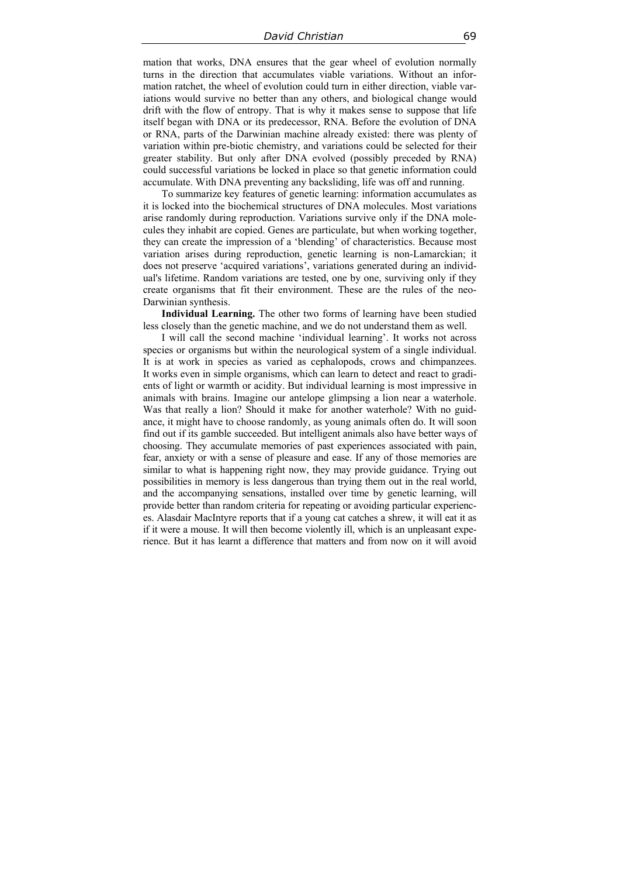mation that works, DNA ensures that the gear wheel of evolution normally turns in the direction that accumulates viable variations. Without an information ratchet, the wheel of evolution could turn in either direction, viable variations would survive no better than any others, and biological change would drift with the flow of entropy. That is why it makes sense to suppose that life itself began with DNA or its predecessor, RNA. Before the evolution of DNA or RNA, parts of the Darwinian machine already existed: there was plenty of variation within pre-biotic chemistry, and variations could be selected for their greater stability. But only after DNA evolved (possibly preceded by RNA) could successful variations be locked in place so that genetic information could accumulate. With DNA preventing any backsliding, life was off and running.

To summarize key features of genetic learning: information accumulates as it is locked into the biochemical structures of DNA molecules. Most variations arise randomly during reproduction. Variations survive only if the DNA molecules they inhabit are copied. Genes are particulate, but when working together, they can create the impression of a 'blending' of characteristics. Because most variation arises during reproduction, genetic learning is non-Lamarckian; it does not preserve 'acquired variations', variations generated during an individual's lifetime. Random variations are tested, one by one, surviving only if they create organisms that fit their environment. These are the rules of the neo-Darwinian synthesis.

**Individual Learning.** The other two forms of learning have been studied less closely than the genetic machine, and we do not understand them as well.

I will call the second machine 'individual learning'. It works not across species or organisms but within the neurological system of a single individual. It is at work in species as varied as cephalopods, crows and chimpanzees. It works even in simple organisms, which can learn to detect and react to gradients of light or warmth or acidity. But individual learning is most impressive in animals with brains. Imagine our antelope glimpsing a lion near a waterhole. Was that really a lion? Should it make for another waterhole? With no guidance, it might have to choose randomly, as young animals often do. It will soon find out if its gamble succeeded. But intelligent animals also have better ways of choosing. They accumulate memories of past experiences associated with pain, fear, anxiety or with a sense of pleasure and ease. If any of those memories are similar to what is happening right now, they may provide guidance. Trying out possibilities in memory is less dangerous than trying them out in the real world, and the accompanying sensations, installed over time by genetic learning, will provide better than random criteria for repeating or avoiding particular experiences. Alasdair MacIntyre reports that if a young cat catches a shrew, it will eat it as if it were a mouse. It will then become violently ill, which is an unpleasant experience. But it has learnt a difference that matters and from now on it will avoid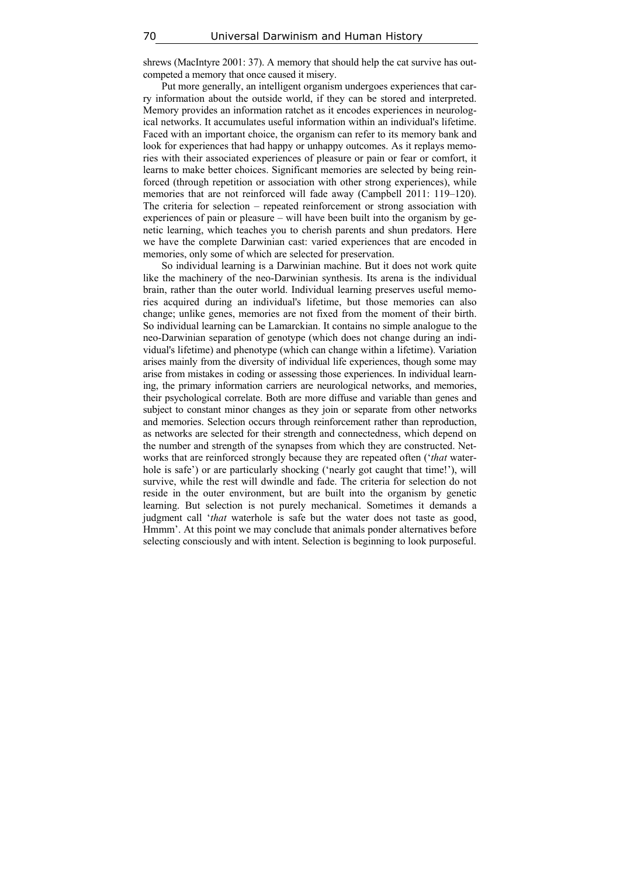shrews (MacIntyre 2001: 37). A memory that should help the cat survive has outcompeted a memory that once caused it misery.

Put more generally, an intelligent organism undergoes experiences that carry information about the outside world, if they can be stored and interpreted. Memory provides an information ratchet as it encodes experiences in neurological networks. It accumulates useful information within an individual's lifetime. Faced with an important choice, the organism can refer to its memory bank and look for experiences that had happy or unhappy outcomes. As it replays memories with their associated experiences of pleasure or pain or fear or comfort, it learns to make better choices. Significant memories are selected by being reinforced (through repetition or association with other strong experiences), while memories that are not reinforced will fade away (Campbell 2011: 119–120). The criteria for selection – repeated reinforcement or strong association with experiences of pain or pleasure – will have been built into the organism by genetic learning, which teaches you to cherish parents and shun predators. Here we have the complete Darwinian cast: varied experiences that are encoded in memories, only some of which are selected for preservation.

So individual learning is a Darwinian machine. But it does not work quite like the machinery of the neo-Darwinian synthesis. Its arena is the individual brain, rather than the outer world. Individual learning preserves useful memories acquired during an individual's lifetime, but those memories can also change; unlike genes, memories are not fixed from the moment of their birth. So individual learning can be Lamarckian. It contains no simple analogue to the neo-Darwinian separation of genotype (which does not change during an individual's lifetime) and phenotype (which can change within a lifetime). Variation arises mainly from the diversity of individual life experiences, though some may arise from mistakes in coding or assessing those experiences. In individual learning, the primary information carriers are neurological networks, and memories, their psychological correlate. Both are more diffuse and variable than genes and subject to constant minor changes as they join or separate from other networks and memories. Selection occurs through reinforcement rather than reproduction, as networks are selected for their strength and connectedness, which depend on the number and strength of the synapses from which they are constructed. Networks that are reinforced strongly because they are repeated often ('*that* waterhole is safe') or are particularly shocking ('nearly got caught that time!'), will survive, while the rest will dwindle and fade. The criteria for selection do not reside in the outer environment, but are built into the organism by genetic learning. But selection is not purely mechanical. Sometimes it demands a judgment call '*that* waterhole is safe but the water does not taste as good, Hmmm'. At this point we may conclude that animals ponder alternatives before selecting consciously and with intent. Selection is beginning to look purposeful.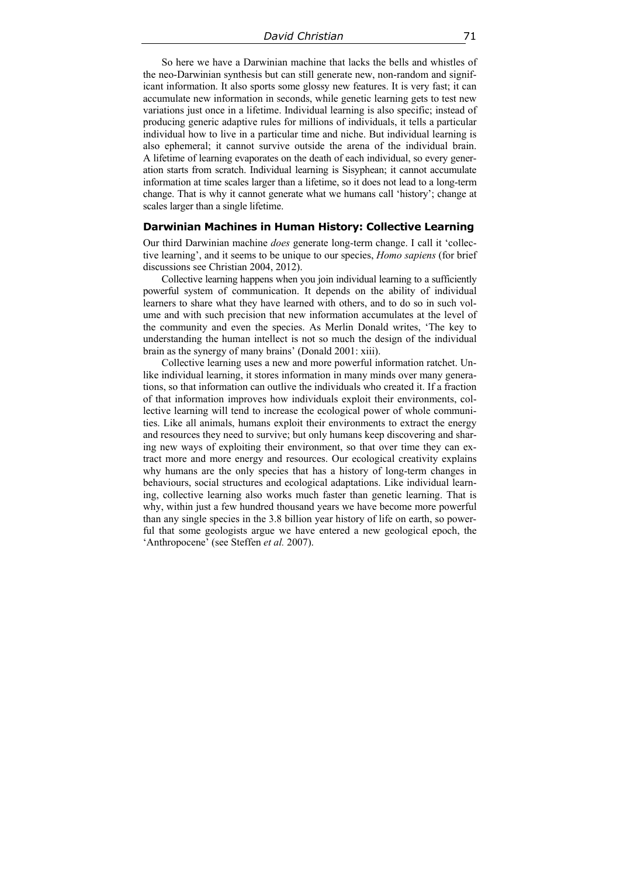So here we have a Darwinian machine that lacks the bells and whistles of the neo-Darwinian synthesis but can still generate new, non-random and significant information. It also sports some glossy new features. It is very fast; it can accumulate new information in seconds, while genetic learning gets to test new variations just once in a lifetime. Individual learning is also specific; instead of producing generic adaptive rules for millions of individuals, it tells a particular individual how to live in a particular time and niche. But individual learning is also ephemeral; it cannot survive outside the arena of the individual brain. A lifetime of learning evaporates on the death of each individual, so every generation starts from scratch. Individual learning is Sisyphean; it cannot accumulate information at time scales larger than a lifetime, so it does not lead to a long-term change. That is why it cannot generate what we humans call 'history'; change at scales larger than a single lifetime.

#### **Darwinian Machines in Human History: Collective Learning**

Our third Darwinian machine *does* generate long-term change. I call it 'collective learning', and it seems to be unique to our species, *Homo sapiens* (for brief discussions see Christian 2004, 2012).

Collective learning happens when you join individual learning to a sufficiently powerful system of communication. It depends on the ability of individual learners to share what they have learned with others, and to do so in such volume and with such precision that new information accumulates at the level of the community and even the species. As Merlin Donald writes, 'The key to understanding the human intellect is not so much the design of the individual brain as the synergy of many brains' (Donald 2001: xiii).

Collective learning uses a new and more powerful information ratchet. Unlike individual learning, it stores information in many minds over many generations, so that information can outlive the individuals who created it. If a fraction of that information improves how individuals exploit their environments, collective learning will tend to increase the ecological power of whole communities. Like all animals, humans exploit their environments to extract the energy and resources they need to survive; but only humans keep discovering and sharing new ways of exploiting their environment, so that over time they can extract more and more energy and resources. Our ecological creativity explains why humans are the only species that has a history of long-term changes in behaviours, social structures and ecological adaptations. Like individual learning, collective learning also works much faster than genetic learning. That is why, within just a few hundred thousand years we have become more powerful than any single species in the 3.8 billion year history of life on earth, so powerful that some geologists argue we have entered a new geological epoch, the 'Anthropocene' (see Steffen *et al.* 2007).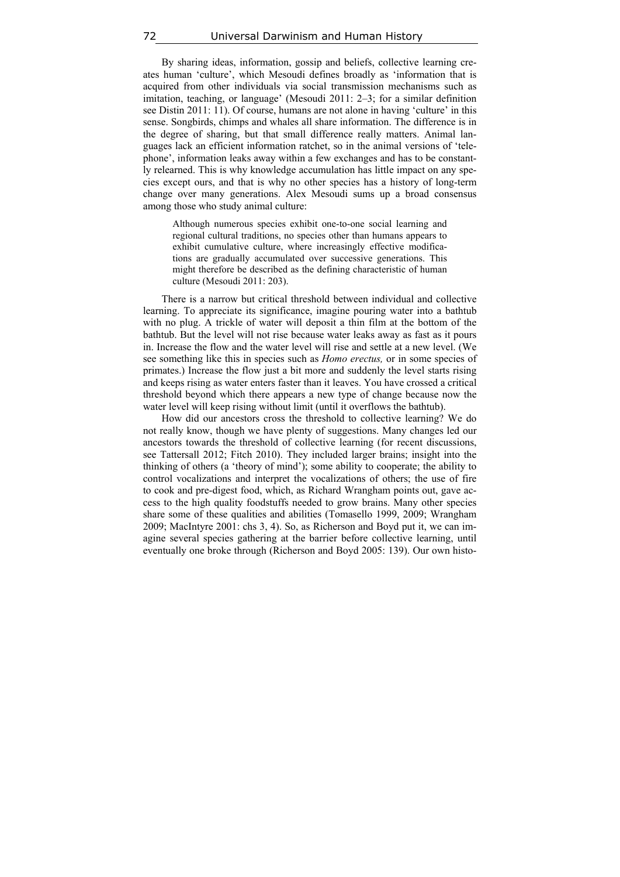By sharing ideas, information, gossip and beliefs, collective learning creates human 'culture', which Mesoudi defines broadly as 'information that is acquired from other individuals via social transmission mechanisms such as imitation, teaching, or language' (Mesoudi 2011: 2–3; for a similar definition see Distin 2011: 11). Of course, humans are not alone in having 'culture' in this sense. Songbirds, chimps and whales all share information. The difference is in the degree of sharing, but that small difference really matters. Animal languages lack an efficient information ratchet, so in the animal versions of 'telephone', information leaks away within a few exchanges and has to be constantly relearned. This is why knowledge accumulation has little impact on any species except ours, and that is why no other species has a history of long-term change over many generations. Alex Mesoudi sums up a broad consensus among those who study animal culture:

Although numerous species exhibit one-to-one social learning and regional cultural traditions, no species other than humans appears to exhibit cumulative culture, where increasingly effective modifications are gradually accumulated over successive generations. This might therefore be described as the defining characteristic of human culture (Mesoudi 2011: 203).

There is a narrow but critical threshold between individual and collective learning. To appreciate its significance, imagine pouring water into a bathtub with no plug. A trickle of water will deposit a thin film at the bottom of the bathtub. But the level will not rise because water leaks away as fast as it pours in. Increase the flow and the water level will rise and settle at a new level. (We see something like this in species such as *Homo erectus,* or in some species of primates.) Increase the flow just a bit more and suddenly the level starts rising and keeps rising as water enters faster than it leaves. You have crossed a critical threshold beyond which there appears a new type of change because now the water level will keep rising without limit (until it overflows the bathtub).

How did our ancestors cross the threshold to collective learning? We do not really know, though we have plenty of suggestions. Many changes led our ancestors towards the threshold of collective learning (for recent discussions, see Tattersall 2012; Fitch 2010). They included larger brains; insight into the thinking of others (a 'theory of mind'); some ability to cooperate; the ability to control vocalizations and interpret the vocalizations of others; the use of fire to cook and pre-digest food, which, as Richard Wrangham points out, gave access to the high quality foodstuffs needed to grow brains. Many other species share some of these qualities and abilities (Tomasello 1999, 2009; Wrangham 2009; MacIntyre 2001: chs 3, 4). So, as Richerson and Boyd put it, we can imagine several species gathering at the barrier before collective learning, until eventually one broke through (Richerson and Boyd 2005: 139). Our own histo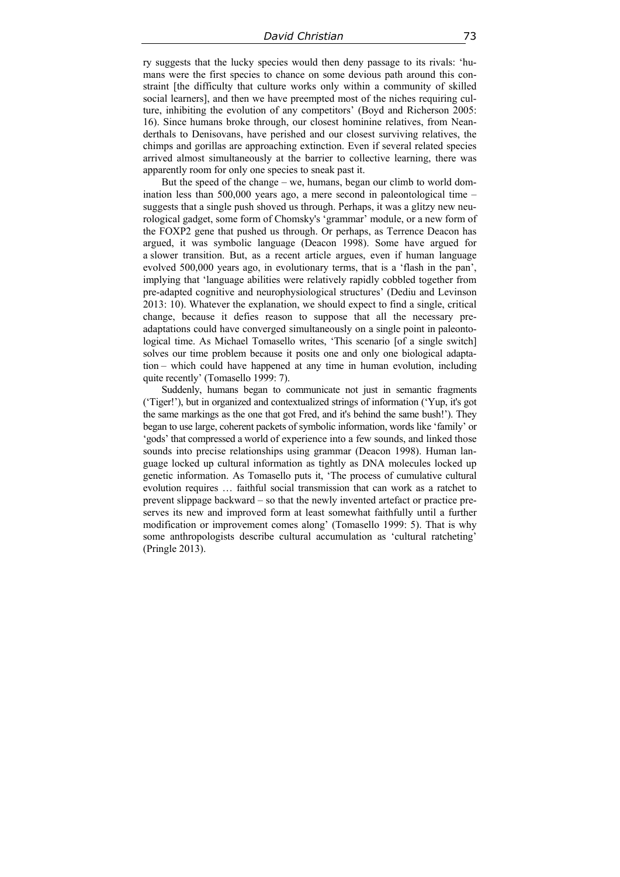ry suggests that the lucky species would then deny passage to its rivals: 'humans were the first species to chance on some devious path around this constraint [the difficulty that culture works only within a community of skilled social learners], and then we have preempted most of the niches requiring culture, inhibiting the evolution of any competitors' (Boyd and Richerson 2005: 16). Since humans broke through, our closest hominine relatives, from Neanderthals to Denisovans, have perished and our closest surviving relatives, the chimps and gorillas are approaching extinction. Even if several related species arrived almost simultaneously at the barrier to collective learning, there was apparently room for only one species to sneak past it.

But the speed of the change – we, humans, began our climb to world domination less than 500,000 years ago, a mere second in paleontological time – suggests that a single push shoved us through. Perhaps, it was a glitzy new neurological gadget, some form of Chomsky's 'grammar' module, or a new form of the FOXP2 gene that pushed us through. Or perhaps, as Terrence Deacon has argued, it was symbolic language (Deacon 1998). Some have argued for a slower transition. But, as a recent article argues, even if human language evolved 500,000 years ago, in evolutionary terms, that is a 'flash in the pan', implying that 'language abilities were relatively rapidly cobbled together from pre-adapted cognitive and neurophysiological structures' (Dediu and Levinson 2013: 10). Whatever the explanation, we should expect to find a single, critical change, because it defies reason to suppose that all the necessary preadaptations could have converged simultaneously on a single point in paleontological time. As Michael Tomasello writes, 'This scenario [of a single switch] solves our time problem because it posits one and only one biological adaptation – which could have happened at any time in human evolution, including quite recently' (Tomasello 1999: 7).

Suddenly, humans began to communicate not just in semantic fragments ('Tiger!'), but in organized and contextualized strings of information ('Yup, it's got the same markings as the one that got Fred, and it's behind the same bush!'). They began to use large, coherent packets of symbolic information, words like 'family' or 'gods' that compressed a world of experience into a few sounds, and linked those sounds into precise relationships using grammar (Deacon 1998). Human language locked up cultural information as tightly as DNA molecules locked up genetic information. As Tomasello puts it, 'The process of cumulative cultural evolution requires … faithful social transmission that can work as a ratchet to prevent slippage backward – so that the newly invented artefact or practice preserves its new and improved form at least somewhat faithfully until a further modification or improvement comes along' (Tomasello 1999: 5). That is why some anthropologists describe cultural accumulation as 'cultural ratcheting' (Pringle 2013).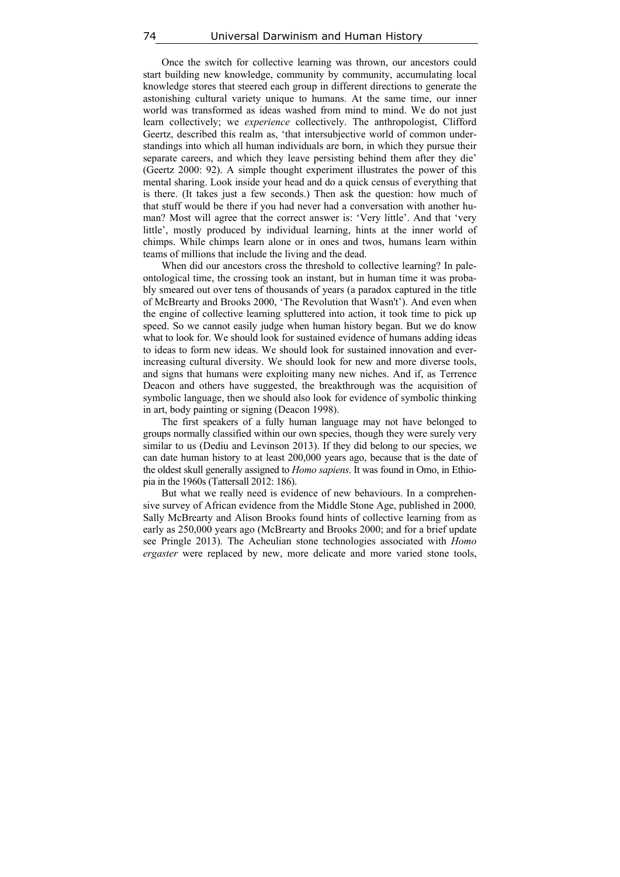Once the switch for collective learning was thrown, our ancestors could start building new knowledge, community by community, accumulating local knowledge stores that steered each group in different directions to generate the astonishing cultural variety unique to humans. At the same time, our inner world was transformed as ideas washed from mind to mind. We do not just learn collectively; we *experience* collectively. The anthropologist, Clifford Geertz, described this realm as, 'that intersubjective world of common understandings into which all human individuals are born, in which they pursue their separate careers, and which they leave persisting behind them after they die' (Geertz 2000: 92). A simple thought experiment illustrates the power of this mental sharing. Look inside your head and do a quick census of everything that is there. (It takes just a few seconds.) Then ask the question: how much of that stuff would be there if you had never had a conversation with another human? Most will agree that the correct answer is: 'Very little'. And that 'very little', mostly produced by individual learning, hints at the inner world of chimps. While chimps learn alone or in ones and twos, humans learn within teams of millions that include the living and the dead.

When did our ancestors cross the threshold to collective learning? In paleontological time, the crossing took an instant, but in human time it was probably smeared out over tens of thousands of years (a paradox captured in the title of McBrearty and Brooks 2000, 'The Revolution that Wasn't'). And even when the engine of collective learning spluttered into action, it took time to pick up speed. So we cannot easily judge when human history began. But we do know what to look for. We should look for sustained evidence of humans adding ideas to ideas to form new ideas. We should look for sustained innovation and everincreasing cultural diversity. We should look for new and more diverse tools, and signs that humans were exploiting many new niches. And if, as Terrence Deacon and others have suggested, the breakthrough was the acquisition of symbolic language, then we should also look for evidence of symbolic thinking in art, body painting or signing (Deacon 1998).

The first speakers of a fully human language may not have belonged to groups normally classified within our own species, though they were surely very similar to us (Dediu and Levinson 2013). If they did belong to our species, we can date human history to at least 200,000 years ago, because that is the date of the oldest skull generally assigned to *Homo sapiens*. It was found in Omo, in Ethiopia in the 1960s (Tattersall 2012: 186).

But what we really need is evidence of new behaviours. In a comprehensive survey of African evidence from the Middle Stone Age, published in 2000*,*  Sally McBrearty and Alison Brooks found hints of collective learning from as early as 250,000 years ago (McBrearty and Brooks 2000; and for a brief update see Pringle 2013). The Acheulian stone technologies associated with *Homo ergaster* were replaced by new, more delicate and more varied stone tools,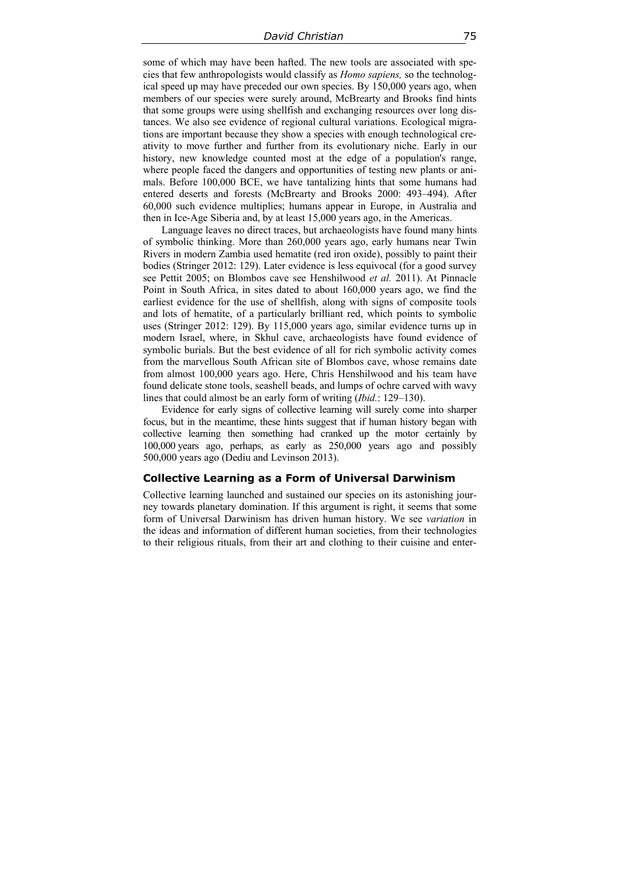some of which may have been hafted. The new tools are associated with species that few anthropologists would classify as *Homo sapiens,* so the technological speed up may have preceded our own species. By 150,000 years ago, when members of our species were surely around, McBrearty and Brooks find hints that some groups were using shellfish and exchanging resources over long distances. We also see evidence of regional cultural variations. Ecological migrations are important because they show a species with enough technological creativity to move further and further from its evolutionary niche. Early in our history, new knowledge counted most at the edge of a population's range, where people faced the dangers and opportunities of testing new plants or animals. Before 100,000 BCE, we have tantalizing hints that some humans had entered deserts and forests (McBrearty and Brooks 2000: 493–494). After 60,000 such evidence multiplies; humans appear in Europe, in Australia and then in Ice-Age Siberia and, by at least 15,000 years ago, in the Americas.

Language leaves no direct traces, but archaeologists have found many hints of symbolic thinking. More than 260,000 years ago, early humans near Twin Rivers in modern Zambia used hematite (red iron oxide), possibly to paint their bodies (Stringer 2012: 129). Later evidence is less equivocal (for a good survey see Pettit 2005; on Blombos cave see Henshilwood *et al.* 2011). At Pinnacle Point in South Africa, in sites dated to about 160,000 years ago, we find the earliest evidence for the use of shellfish, along with signs of composite tools and lots of hematite, of a particularly brilliant red, which points to symbolic uses (Stringer 2012: 129). By 115,000 years ago, similar evidence turns up in modern Israel, where, in Skhul cave, archaeologists have found evidence of symbolic burials. But the best evidence of all for rich symbolic activity comes from the marvellous South African site of Blombos cave, whose remains date from almost 100,000 years ago. Here, Chris Henshilwood and his team have found delicate stone tools, seashell beads, and lumps of ochre carved with wavy lines that could almost be an early form of writing (*Ibid.*: 129–130).

Evidence for early signs of collective learning will surely come into sharper focus, but in the meantime, these hints suggest that if human history began with collective learning then something had cranked up the motor certainly by 100,000 years ago, perhaps, as early as 250,000 years ago and possibly 500,000 years ago (Dediu and Levinson 2013).

#### **Collective Learning as a Form of Universal Darwinism**

Collective learning launched and sustained our species on its astonishing journey towards planetary domination. If this argument is right, it seems that some form of Universal Darwinism has driven human history. We see *variation* in the ideas and information of different human societies, from their technologies to their religious rituals, from their art and clothing to their cuisine and enter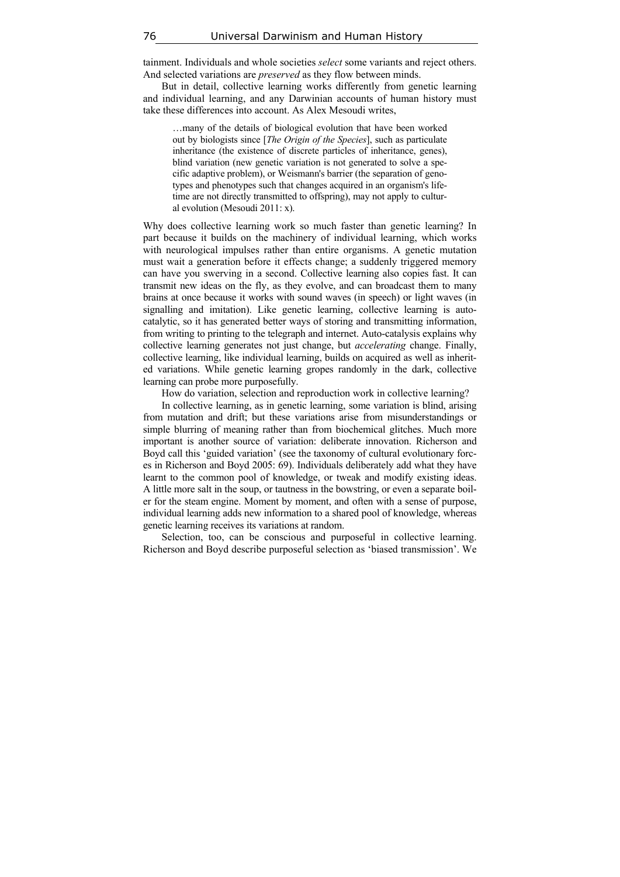tainment. Individuals and whole societies *select* some variants and reject others. And selected variations are *preserved* as they flow between minds.

But in detail, collective learning works differently from genetic learning and individual learning, and any Darwinian accounts of human history must take these differences into account. As Alex Mesoudi writes,

…many of the details of biological evolution that have been worked out by biologists since [*The Origin of the Species*], such as particulate inheritance (the existence of discrete particles of inheritance, genes), blind variation (new genetic variation is not generated to solve a specific adaptive problem), or Weismann's barrier (the separation of genotypes and phenotypes such that changes acquired in an organism's lifetime are not directly transmitted to offspring), may not apply to cultural evolution (Mesoudi 2011: x).

Why does collective learning work so much faster than genetic learning? In part because it builds on the machinery of individual learning, which works with neurological impulses rather than entire organisms. A genetic mutation must wait a generation before it effects change; a suddenly triggered memory can have you swerving in a second. Collective learning also copies fast. It can transmit new ideas on the fly, as they evolve, and can broadcast them to many brains at once because it works with sound waves (in speech) or light waves (in signalling and imitation). Like genetic learning, collective learning is autocatalytic, so it has generated better ways of storing and transmitting information, from writing to printing to the telegraph and internet. Auto-catalysis explains why collective learning generates not just change, but *accelerating* change. Finally, collective learning, like individual learning, builds on acquired as well as inherited variations. While genetic learning gropes randomly in the dark, collective learning can probe more purposefully.

How do variation, selection and reproduction work in collective learning?

In collective learning, as in genetic learning, some variation is blind, arising from mutation and drift; but these variations arise from misunderstandings or simple blurring of meaning rather than from biochemical glitches. Much more important is another source of variation: deliberate innovation. Richerson and Boyd call this 'guided variation' (see the taxonomy of cultural evolutionary forces in Richerson and Boyd 2005: 69). Individuals deliberately add what they have learnt to the common pool of knowledge, or tweak and modify existing ideas. A little more salt in the soup, or tautness in the bowstring, or even a separate boiler for the steam engine. Moment by moment, and often with a sense of purpose, individual learning adds new information to a shared pool of knowledge, whereas genetic learning receives its variations at random.

Selection, too, can be conscious and purposeful in collective learning. Richerson and Boyd describe purposeful selection as 'biased transmission'. We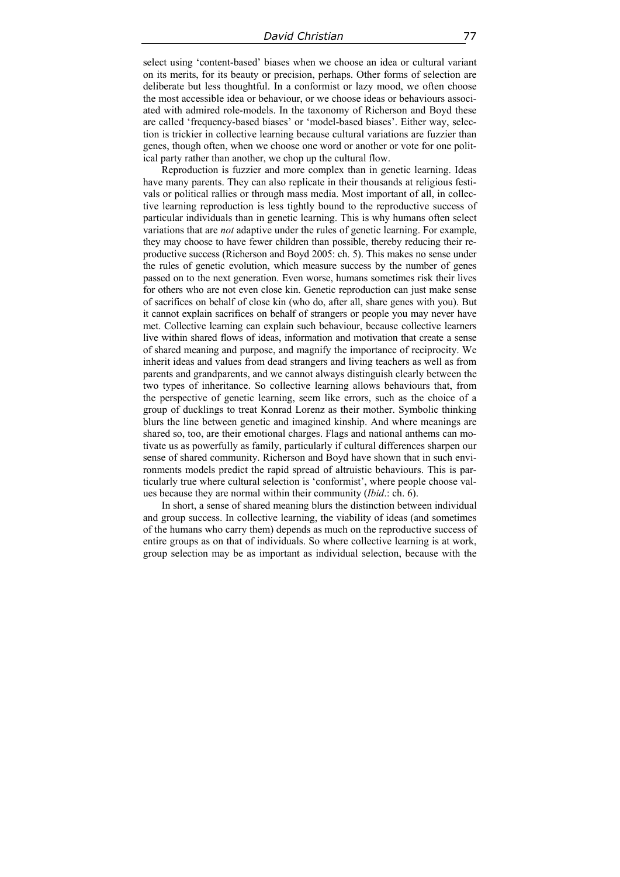select using 'content-based' biases when we choose an idea or cultural variant on its merits, for its beauty or precision, perhaps. Other forms of selection are deliberate but less thoughtful. In a conformist or lazy mood, we often choose the most accessible idea or behaviour, or we choose ideas or behaviours associated with admired role-models. In the taxonomy of Richerson and Boyd these are called 'frequency-based biases' or 'model-based biases'. Either way, selection is trickier in collective learning because cultural variations are fuzzier than genes, though often, when we choose one word or another or vote for one political party rather than another, we chop up the cultural flow.

Reproduction is fuzzier and more complex than in genetic learning. Ideas have many parents. They can also replicate in their thousands at religious festivals or political rallies or through mass media. Most important of all, in collective learning reproduction is less tightly bound to the reproductive success of particular individuals than in genetic learning. This is why humans often select variations that are *not* adaptive under the rules of genetic learning. For example, they may choose to have fewer children than possible, thereby reducing their reproductive success (Richerson and Boyd 2005: ch. 5). This makes no sense under the rules of genetic evolution, which measure success by the number of genes passed on to the next generation. Even worse, humans sometimes risk their lives for others who are not even close kin. Genetic reproduction can just make sense of sacrifices on behalf of close kin (who do, after all, share genes with you). But it cannot explain sacrifices on behalf of strangers or people you may never have met. Collective learning can explain such behaviour, because collective learners live within shared flows of ideas, information and motivation that create a sense of shared meaning and purpose, and magnify the importance of reciprocity. We inherit ideas and values from dead strangers and living teachers as well as from parents and grandparents, and we cannot always distinguish clearly between the two types of inheritance. So collective learning allows behaviours that, from the perspective of genetic learning, seem like errors, such as the choice of a group of ducklings to treat Konrad Lorenz as their mother. Symbolic thinking blurs the line between genetic and imagined kinship. And where meanings are shared so, too, are their emotional charges. Flags and national anthems can motivate us as powerfully as family, particularly if cultural differences sharpen our sense of shared community. Richerson and Boyd have shown that in such environments models predict the rapid spread of altruistic behaviours. This is particularly true where cultural selection is 'conformist', where people choose values because they are normal within their community (*Ibid*.: ch. 6).

In short, a sense of shared meaning blurs the distinction between individual and group success. In collective learning, the viability of ideas (and sometimes of the humans who carry them) depends as much on the reproductive success of entire groups as on that of individuals. So where collective learning is at work, group selection may be as important as individual selection, because with the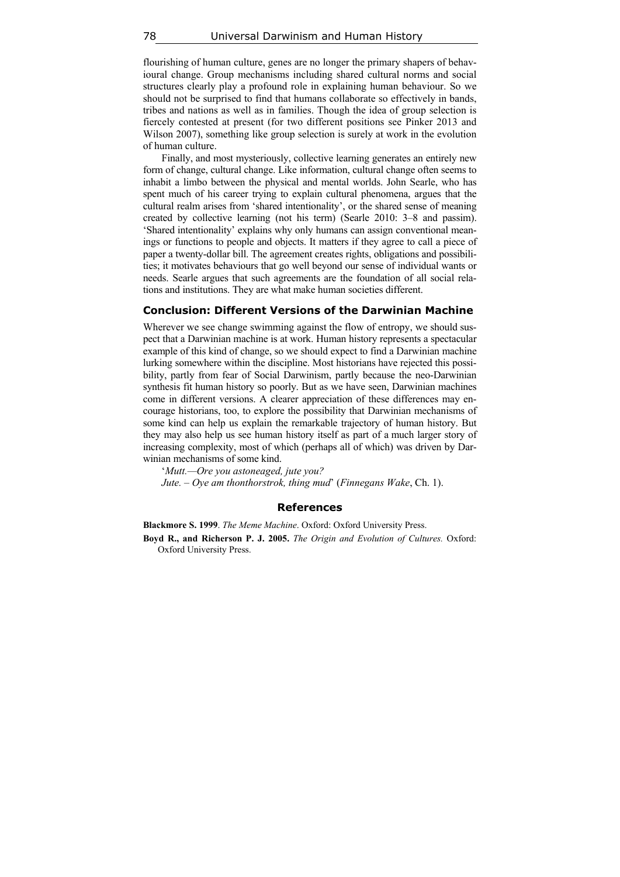flourishing of human culture, genes are no longer the primary shapers of behavioural change. Group mechanisms including shared cultural norms and social structures clearly play a profound role in explaining human behaviour. So we should not be surprised to find that humans collaborate so effectively in bands, tribes and nations as well as in families. Though the idea of group selection is fiercely contested at present (for two different positions see Pinker 2013 and Wilson 2007), something like group selection is surely at work in the evolution of human culture.

Finally, and most mysteriously, collective learning generates an entirely new form of change, cultural change. Like information, cultural change often seems to inhabit a limbo between the physical and mental worlds. John Searle, who has spent much of his career trying to explain cultural phenomena, argues that the cultural realm arises from 'shared intentionality', or the shared sense of meaning created by collective learning (not his term) (Searle 2010: 3–8 and passim). 'Shared intentionality' explains why only humans can assign conventional meanings or functions to people and objects. It matters if they agree to call a piece of paper a twenty-dollar bill. The agreement creates rights, obligations and possibilities; it motivates behaviours that go well beyond our sense of individual wants or needs. Searle argues that such agreements are the foundation of all social relations and institutions. They are what make human societies different.

### **Conclusion: Different Versions of the Darwinian Machine**

Wherever we see change swimming against the flow of entropy, we should suspect that a Darwinian machine is at work. Human history represents a spectacular example of this kind of change, so we should expect to find a Darwinian machine lurking somewhere within the discipline. Most historians have rejected this possibility, partly from fear of Social Darwinism, partly because the neo-Darwinian synthesis fit human history so poorly. But as we have seen, Darwinian machines come in different versions. A clearer appreciation of these differences may encourage historians, too, to explore the possibility that Darwinian mechanisms of some kind can help us explain the remarkable trajectory of human history. But they may also help us see human history itself as part of a much larger story of increasing complexity, most of which (perhaps all of which) was driven by Darwinian mechanisms of some kind.

'*Mutt.—Ore you astoneaged, jute you?*

*Jute. – Oye am thonthorstrok, thing mud*' (*Finnegans Wake*, Ch. 1).

#### **References**

**Blackmore S. 1999**. *The Meme Machine*. Oxford: Oxford University Press.

**Boyd R., and Richerson P. J. 2005.** *The Origin and Evolution of Cultures.* Oxford: Oxford University Press.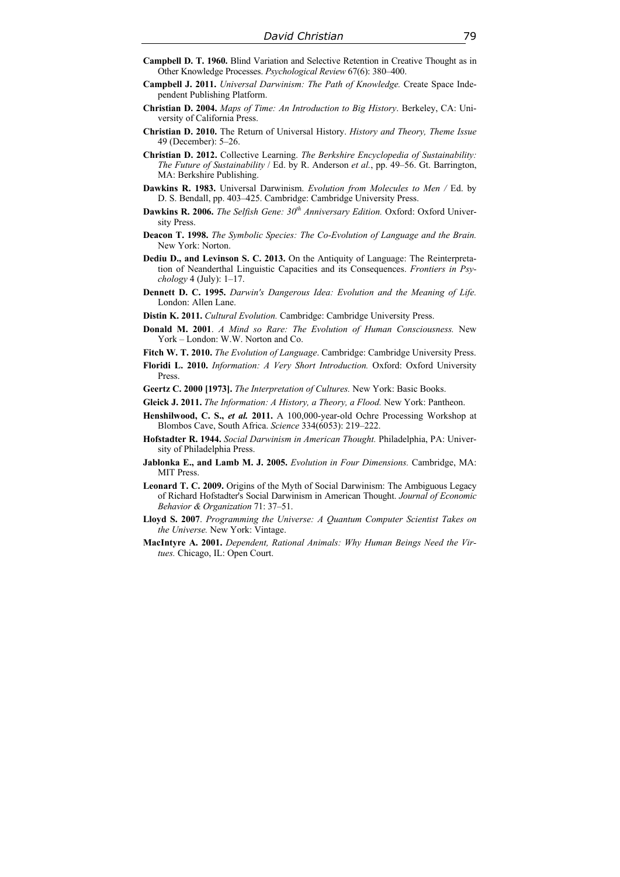- **Campbell D. T. 1960.** Blind Variation and Selective Retention in Creative Thought as in Other Knowledge Processes. *Psychological Review* 67(6): 380–400.
- **Campbell J. 2011.** *Universal Darwinism: The Path of Knowledge.* Create Space Independent Publishing Platform.
- **Christian D. 2004.** *Maps of Time: An Introduction to Big History*. Berkeley, CA: University of California Press.
- **Christian D. 2010.** The Return of Universal History. *History and Theory, Theme Issue* 49 (December): 5–26.
- **Christian D. 2012.** Collective Learning. *The Berkshire Encyclopedia of Sustainability: The Future of Sustainability* / Ed. by R. Anderson *et al.*, pp. 49–56. Gt. Barrington, MA: Berkshire Publishing.
- **Dawkins R. 1983.** Universal Darwinism. *Evolution from Molecules to Men /* Ed. by D. S. Bendall, pp. 403–425. Cambridge: Cambridge University Press.
- **Dawkins R. 2006.** *The Selfish Gene:*  $30<sup>th</sup>$  *Anniversary Edition.* Oxford: Oxford University Press.
- **Deacon T. 1998.** *The Symbolic Species: The Co-Evolution of Language and the Brain.*  New York: Norton.
- **Dediu D., and Levinson S. C. 2013.** On the Antiquity of Language: The Reinterpretation of Neanderthal Linguistic Capacities and its Consequences. *Frontiers in Psychology* 4 (July): 1–17.
- **Dennett D. C. 1995.** *Darwin's Dangerous Idea: Evolution and the Meaning of Life.*  London: Allen Lane.
- **Distin K. 2011.** *Cultural Evolution.* Cambridge: Cambridge University Press.
- **Donald M. 2001**. *A Mind so Rare: The Evolution of Human Consciousness.* New York – London: W.W. Norton and Co.
- **Fitch W. T. 2010.** *The Evolution of Language*. Cambridge: Cambridge University Press.
- **Floridi L. 2010.** *Information: A Very Short Introduction.* Oxford: Oxford University Press.
- **Geertz C. 2000 [1973].** *The Interpretation of Cultures.* New York: Basic Books.
- **Gleick J. 2011.** *The Information: A History, a Theory, a Flood.* New York: Pantheon.
- **Henshilwood, C. S.,** *et al.* **2011.** A 100,000-year-old Ochre Processing Workshop at Blombos Cave, South Africa. *Science* 334(6053): 219–222.
- **Hofstadter R. 1944.** *Social Darwinism in American Thought.* Philadelphia, PA: University of Philadelphia Press.
- **Jablonka E., and Lamb M. J. 2005.** *Evolution in Four Dimensions.* Cambridge, MA: MIT Press.
- **Leonard T. C. 2009.** Origins of the Myth of Social Darwinism: The Ambiguous Legacy of Richard Hofstadter's Social Darwinism in American Thought. *Journal of Economic Behavior & Organization* 71: 37–51.
- **Lloyd S. 2007**. *Programming the Universe: A Quantum Computer Scientist Takes on the Universe.* New York: Vintage.
- **MacIntyre A. 2001.** *Dependent, Rational Animals: Why Human Beings Need the Virtues.* Chicago, IL: Open Court.